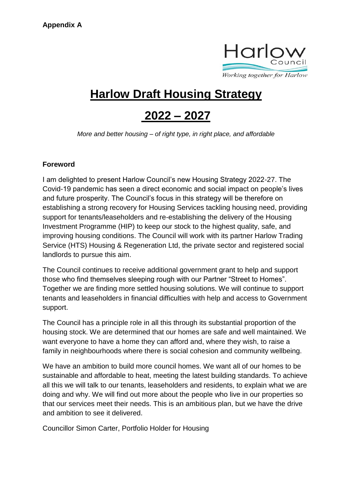

## **Harlow Draft Housing Strategy**

# **2022 – 2027**

*More and better housing – of right type, in right place, and affordable*

#### **Foreword**

I am delighted to present Harlow Council's new Housing Strategy 2022-27. The Covid-19 pandemic has seen a direct economic and social impact on people's lives and future prosperity. The Council's focus in this strategy will be therefore on establishing a strong recovery for Housing Services tackling housing need, providing support for tenants/leaseholders and re-establishing the delivery of the Housing Investment Programme (HIP) to keep our stock to the highest quality, safe, and improving housing conditions. The Council will work with its partner Harlow Trading Service (HTS) Housing & Regeneration Ltd, the private sector and registered social landlords to pursue this aim.

The Council continues to receive additional government grant to help and support those who find themselves sleeping rough with our Partner "Street to Homes". Together we are finding more settled housing solutions. We will continue to support tenants and leaseholders in financial difficulties with help and access to Government support.

The Council has a principle role in all this through its substantial proportion of the housing stock. We are determined that our homes are safe and well maintained. We want everyone to have a home they can afford and, where they wish, to raise a family in neighbourhoods where there is social cohesion and community wellbeing.

We have an ambition to build more council homes. We want all of our homes to be sustainable and affordable to heat, meeting the latest building standards. To achieve all this we will talk to our tenants, leaseholders and residents, to explain what we are doing and why. We will find out more about the people who live in our properties so that our services meet their needs. This is an ambitious plan, but we have the drive and ambition to see it delivered.

Councillor Simon Carter, Portfolio Holder for Housing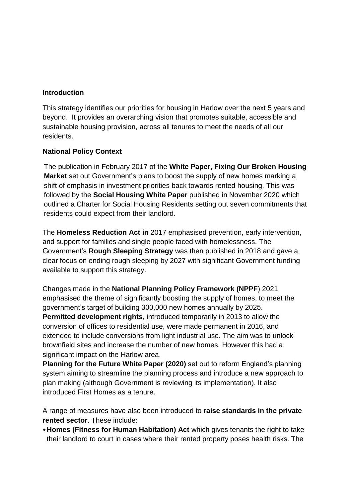#### **Introduction**

This strategy identifies our priorities for housing in Harlow over the next 5 years and beyond. It provides an overarching vision that promotes suitable, accessible and sustainable housing provision, across all tenures to meet the needs of all our residents.

#### **National Policy Context**

The publication in February 2017 of the **White Paper, Fixing Our Broken Housing Market** set out Government's plans to boost the supply of new homes marking a shift of emphasis in investment priorities back towards rented housing. This was followed by the **Social Housing White Paper** published in November 2020 which outlined a Charter for Social Housing Residents setting out seven commitments that residents could expect from their landlord.

The **Homeless Reduction Act in** 2017 emphasised prevention, early intervention, and support for families and single people faced with homelessness. The Government's **Rough Sleeping Strategy** was then published in 2018 and gave a clear focus on ending rough sleeping by 2027 with significant Government funding available to support this strategy.

Changes made in the **National Planning Policy Framework (NPPF**) 2021 emphasised the theme of significantly boosting the supply of homes, to meet the government's target of building 300,000 new homes annually by 2025. **Permitted development rights**, introduced temporarily in 2013 to allow the conversion of offices to residential use, were made permanent in 2016, and extended to include conversions from light industrial use. The aim was to unlock brownfield sites and increase the number of new homes. However this had a significant impact on the Harlow area.

**Planning for the Future White Paper (2020)** set out to reform England's planning system aiming to streamline the planning process and introduce a new approach to plan making (although Government is reviewing its implementation). It also introduced First Homes as a tenure.

A range of measures have also been introduced to **raise standards in the private rented sector**. These include:

•**Homes (Fitness for Human Habitation) Act** which gives tenants the right to take their landlord to court in cases where their rented property poses health risks. The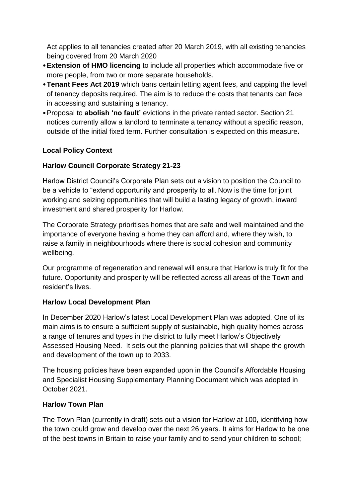Act applies to all tenancies created after 20 March 2019, with all existing tenancies being covered from 20 March 2020

- •**Extension of HMO licencing** to include all properties which accommodate five or more people, from two or more separate households.
- •**Tenant Fees Act 2019** which bans certain letting agent fees, and capping the level of tenancy deposits required. The aim is to reduce the costs that tenants can face in accessing and sustaining a tenancy.
- •Proposal to **abolish 'no fault'** evictions in the private rented sector. Section 21 notices currently allow a landlord to terminate a tenancy without a specific reason, outside of the initial fixed term. Further consultation is expected on this measure**.**

## **Local Policy Context**

## **Harlow Council Corporate Strategy 21-23**

Harlow District Council's Corporate Plan sets out a vision to position the Council to be a vehicle to "extend opportunity and prosperity to all. Now is the time for joint working and seizing opportunities that will build a lasting legacy of growth, inward investment and shared prosperity for Harlow.

The Corporate Strategy prioritises homes that are safe and well maintained and the importance of everyone having a home they can afford and, where they wish, to raise a family in neighbourhoods where there is social cohesion and community wellbeing.

Our programme of regeneration and renewal will ensure that Harlow is truly fit for the future. Opportunity and prosperity will be reflected across all areas of the Town and resident's lives.

#### **Harlow Local Development Plan**

In December 2020 Harlow's latest Local Development Plan was adopted. One of its main aims is to ensure a sufficient supply of sustainable, high quality homes across a range of tenures and types in the district to fully meet Harlow's Objectively Assessed Housing Need. It sets out the planning policies that will shape the growth and development of the town up to 2033.

The housing policies have been expanded upon in the Council's Affordable Housing and Specialist Housing Supplementary Planning Document which was adopted in October 2021.

#### **Harlow Town Plan**

The Town Plan (currently in draft) sets out a vision for Harlow at 100, identifying how the town could grow and develop over the next 26 years. It aims for Harlow to be one of the best towns in Britain to raise your family and to send your children to school;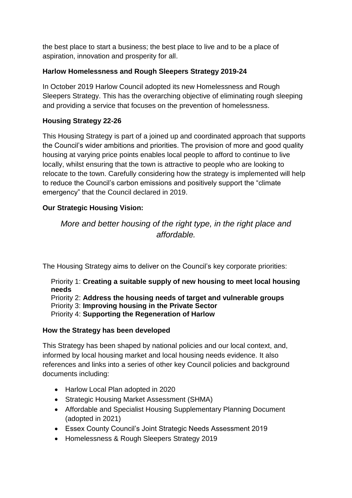the best place to start a business; the best place to live and to be a place of aspiration, innovation and prosperity for all.

## **Harlow Homelessness and Rough Sleepers Strategy 2019-24**

In October 2019 Harlow Council adopted its new Homelessness and Rough Sleepers Strategy. This has the overarching objective of eliminating rough sleeping and providing a service that focuses on the prevention of homelessness.

## **Housing Strategy 22-26**

This Housing Strategy is part of a joined up and coordinated approach that supports the Council's wider ambitions and priorities. The provision of more and good quality housing at varying price points enables local people to afford to continue to live locally, whilst ensuring that the town is attractive to people who are looking to relocate to the town. Carefully considering how the strategy is implemented will help to reduce the Council's carbon emissions and positively support the "climate emergency" that the Council declared in 2019.

## **Our Strategic Housing Vision:**

*More and better housing of the right type, in the right place and affordable.*

The Housing Strategy aims to deliver on the Council's key corporate priorities:

Priority 1: **Creating a suitable supply of new housing to meet local housing needs**

Priority 2: **Address the housing needs of target and vulnerable groups**

Priority 3: **Improving housing in the Private Sector**

Priority 4: **Supporting the Regeneration of Harlow**

## **How the Strategy has been developed**

This Strategy has been shaped by national policies and our local context, and, informed by local housing market and local housing needs evidence. It also references and links into a series of other key Council policies and background documents including:

- Harlow Local Plan adopted in 2020
- Strategic Housing Market Assessment (SHMA)
- Affordable and Specialist Housing Supplementary Planning Document (adopted in 2021)
- Essex County Council's Joint Strategic Needs Assessment 2019
- Homelessness & Rough Sleepers Strategy 2019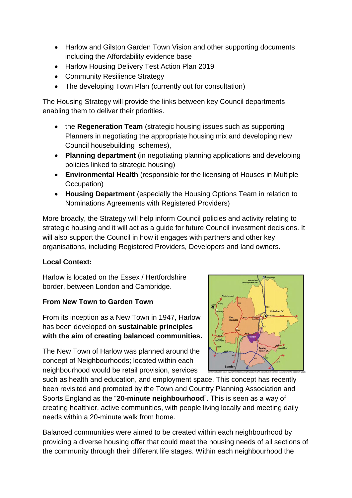- Harlow and Gilston Garden Town Vision and other supporting documents including the Affordability evidence base
- Harlow Housing Delivery Test Action Plan 2019
- Community Resilience Strategy
- The developing Town Plan (currently out for consultation)

The Housing Strategy will provide the links between key Council departments enabling them to deliver their priorities.

- the **Regeneration Team** (strategic housing issues such as supporting Planners in negotiating the appropriate housing mix and developing new Council housebuilding schemes),
- **Planning department** (in negotiating planning applications and developing policies linked to strategic housing)
- **Environmental Health** (responsible for the licensing of Houses in Multiple Occupation)
- **Housing Department** (especially the Housing Options Team in relation to Nominations Agreements with Registered Providers)

More broadly, the Strategy will help inform Council policies and activity relating to strategic housing and it will act as a guide for future Council investment decisions. It will also support the Council in how it engages with partners and other key organisations, including Registered Providers, Developers and land owners.

## **Local Context:**

Harlow is located on the Essex / Hertfordshire border, between London and Cambridge.

## **From New Town to Garden Town**

From its inception as a New Town in 1947, Harlow has been developed on **sustainable principles with the aim of creating balanced communities.**

The New Town of Harlow was planned around the concept of Neighbourhoods; located within each neighbourhood would be retail provision, services

such as health and education, and employment space. This concept has recently been revisited and promoted by the Town and Country Planning Association and Sports England as the "**20-minute neighbourhood**". This is seen as a way of creating healthier, active communities, with people living locally and meeting daily needs within a 20-minute walk from home.

Balanced communities were aimed to be created within each neighbourhood by providing a diverse housing offer that could meet the housing needs of all sections of the community through their different life stages. Within each neighbourhood the

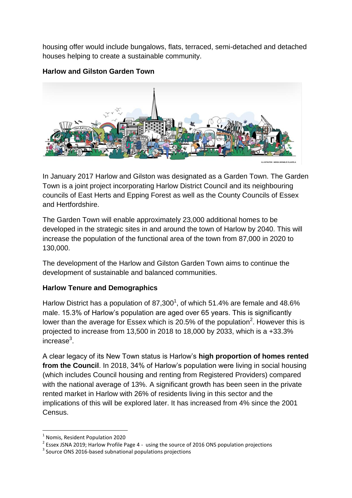housing offer would include bungalows, flats, terraced, semi-detached and detached houses helping to create a sustainable community.

#### **Harlow and Gilston Garden Town**



In January 2017 Harlow and Gilston was designated as a Garden Town. The Garden Town is a joint project incorporating Harlow District Council and its neighbouring councils of East Herts and Epping Forest as well as the County Councils of Essex and Hertfordshire.

The Garden Town will enable approximately 23,000 additional homes to be developed in the strategic sites in and around the town of Harlow by 2040. This will increase the population of the functional area of the town from 87,000 in 2020 to 130,000.

The development of the Harlow and Gilston Garden Town aims to continue the development of sustainable and balanced communities.

## **Harlow Tenure and Demographics**

Harlow District has a population of 87,300<sup>1</sup>, of which 51.4% are female and 48.6% male. 15.3% of Harlow's population are aged over 65 years. This is significantly lower than the average for Essex which is 20.5% of the population<sup>2</sup>. However this is projected to increase from 13,500 in 2018 to 18,000 by 2033, which is a +33.3% increase $3$ .

A clear legacy of its New Town status is Harlow's **high proportion of homes rented from the Council**. In 2018, 34% of Harlow's population were living in social housing (which includes Council housing and renting from Registered Providers) compared with the national average of 13%. A significant growth has been seen in the private rented market in Harlow with 26% of residents living in this sector and the implications of this will be explored later. It has increased from 4% since the 2001 Census.

**.** 

<sup>1</sup> Nomis, Resident Population 2020

 $2$  Essex JSNA 2019; Harlow Profile Page 4 - using the source of 2016 ONS population projections

<sup>&</sup>lt;sup>3</sup> Source ONS 2016-based subnational populations projections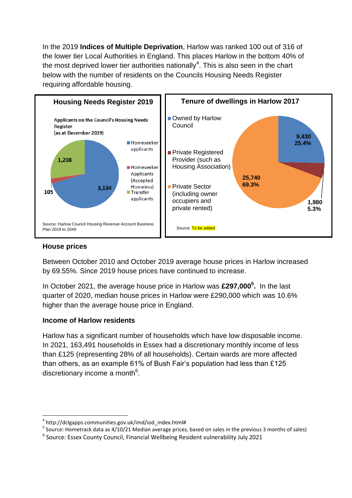In the 2019 **Indices of Multiple Deprivation**, Harlow was ranked 100 out of 316 of the lower tier Local Authorities in England. This places Harlow in the bottom 40% of the most deprived lower tier authorities nationally<sup>4</sup>. This is also seen in the chart below with the number of residents on the Councils Housing Needs Register requiring affordable housing.



#### **House prices**

**.** 

Between October 2010 and October 2019 average house prices in Harlow increased by 69.55%. Since 2019 house prices have continued to increase.

In October 2021, the average house price in Harlow was **£297,000<sup>5</sup> .** In the last quarter of 2020, median house prices in Harlow were £290,000 which was 10.6% higher than the average house price in England.

#### **Income of Harlow residents**

Harlow has a significant number of households which have low disposable income. In 2021, 163,491 households in Essex had a discretionary monthly income of less than £125 (representing 28% of all households). Certain wards are more affected than others, as an example 61% of Bush Fair's population had less than £125 discretionary income a month<sup>6</sup>.

<sup>&</sup>lt;sup>4</sup> http://dclgapps.communities.gov.uk/imd/iod\_index.html#

<sup>&</sup>lt;sup>5</sup> Source: Hometrack data as 4/10/21 Median average prices, based on sales in the previous 3 months of sales)

<sup>&</sup>lt;sup>6</sup> Source: Essex County Council, Financial Wellbeing Resident vulnerability July 2021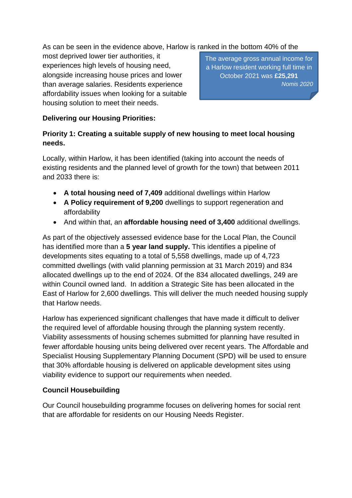As can be seen in the evidence above, Harlow is ranked in the bottom 40% of the

most deprived lower tier authorities, it experiences high levels of housing need, alongside increasing house prices and lower than average salaries. Residents experience affordability issues when looking for a suitable housing solution to meet their needs.

The average gross annual income for a Harlow resident working full time in October 2021 was **£25,291** *Nomis 2020*

## **Delivering our Housing Priorities:**

## **Priority 1: Creating a suitable supply of new housing to meet local housing needs.**

Locally, within Harlow, it has been identified (taking into account the needs of existing residents and the planned level of growth for the town) that between 2011 and 2033 there is:

- **A total housing need of 7,409** additional dwellings within Harlow
- **A Policy requirement of 9,200** dwellings to support regeneration and affordability
- And within that, an **affordable housing need of 3,400** additional dwellings.

As part of the objectively assessed evidence base for the Local Plan, the Council has identified more than a **5 year land supply.** This identifies a pipeline of developments sites equating to a total of 5,558 dwellings, made up of 4,723 committed dwellings (with valid planning permission at 31 March 2019) and 834 allocated dwellings up to the end of 2024. Of the 834 allocated dwellings, 249 are within Council owned land. In addition a Strategic Site has been allocated in the East of Harlow for 2,600 dwellings. This will deliver the much needed housing supply that Harlow needs.

Harlow has experienced significant challenges that have made it difficult to deliver the required level of affordable housing through the planning system recently. Viability assessments of housing schemes submitted for planning have resulted in fewer affordable housing units being delivered over recent years. The Affordable and Specialist Housing Supplementary Planning Document (SPD) will be used to ensure that 30% affordable housing is delivered on applicable development sites using viability evidence to support our requirements when needed.

#### **Council Housebuilding**

Our Council housebuilding programme focuses on delivering homes for social rent that are affordable for residents on our Housing Needs Register.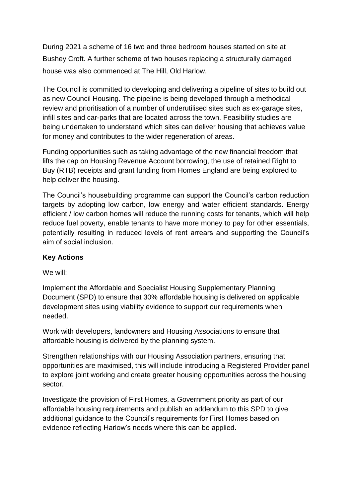During 2021 a scheme of 16 two and three bedroom houses started on site at Bushey Croft. A further scheme of two houses replacing a structurally damaged house was also commenced at The Hill, Old Harlow.

The Council is committed to developing and delivering a pipeline of sites to build out as new Council Housing. The pipeline is being developed through a methodical review and prioritisation of a number of underutilised sites such as ex-garage sites, infill sites and car-parks that are located across the town. Feasibility studies are being undertaken to understand which sites can deliver housing that achieves value for money and contributes to the wider regeneration of areas.

Funding opportunities such as taking advantage of the new financial freedom that lifts the cap on Housing Revenue Account borrowing, the use of retained Right to Buy (RTB) receipts and grant funding from Homes England are being explored to help deliver the housing.

The Council's housebuilding programme can support the Council's carbon reduction targets by adopting low carbon, low energy and water efficient standards. Energy efficient / low carbon homes will reduce the running costs for tenants, which will help reduce fuel poverty, enable tenants to have more money to pay for other essentials, potentially resulting in reduced levels of rent arrears and supporting the Council's aim of social inclusion.

#### **Key Actions**

We will:

Implement the Affordable and Specialist Housing Supplementary Planning Document (SPD) to ensure that 30% affordable housing is delivered on applicable development sites using viability evidence to support our requirements when needed.

Work with developers, landowners and Housing Associations to ensure that affordable housing is delivered by the planning system.

Strengthen relationships with our Housing Association partners, ensuring that opportunities are maximised, this will include introducing a Registered Provider panel to explore joint working and create greater housing opportunities across the housing sector.

Investigate the provision of First Homes, a Government priority as part of our affordable housing requirements and publish an addendum to this SPD to give additional guidance to the Council's requirements for First Homes based on evidence reflecting Harlow's needs where this can be applied.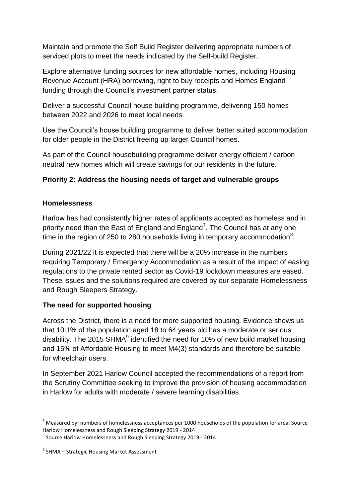Maintain and promote the Self Build Register delivering appropriate numbers of serviced plots to meet the needs indicated by the Self-build Register.

Explore alternative funding sources for new affordable homes, including Housing Revenue Account (HRA) borrowing, right to buy receipts and Homes England funding through the Council's investment partner status.

Deliver a successful Council house building programme, delivering 150 homes between 2022 and 2026 to meet local needs.

Use the Council's house building programme to deliver better suited accommodation for older people in the District freeing up larger Council homes.

As part of the Council housebuilding programme deliver energy efficient / carbon neutral new homes which will create savings for our residents in the future.

## **Priority 2: Address the housing needs of target and vulnerable groups**

## **Homelessness**

Harlow has had consistently higher rates of applicants accepted as homeless and in priority need than the East of England and England<sup>7</sup>. The Council has at any one time in the region of 250 to 280 households living in temporary accommodation $8$ .

During 2021/22 it is expected that there will be a 20% increase in the numbers requiring Temporary / Emergency Accommodation as a result of the impact of easing regulations to the private rented sector as Covid-19 lockdown measures are eased. These issues and the solutions required are covered by our separate Homelessness and Rough Sleepers Strategy.

## **The need for supported housing**

Across the District, there is a need for more supported housing. Evidence shows us that 10.1% of the population aged 18 to 64 years old has a moderate or serious disability. The 2015 SHMA $^9$  identified the need for 10% of new build market housing and 15% of Affordable Housing to meet M4(3) standards and therefore be suitable for wheelchair users.

In September 2021 Harlow Council accepted the recommendations of a report from the Scrutiny Committee seeking to improve the provision of housing accommodation in Harlow for adults with moderate / severe learning disabilities.

 $\overline{a}$ 

 $<sup>7</sup>$  Measured by: numbers of homelessness acceptances per 1000 households of the population for area. Source</sup> Harlow Homelessness and Rough Sleeping Strategy 2019 - 2014

<sup>8</sup> Source Harlow Homelessness and Rough Sleeping Strategy 2019 - 2014

<sup>&</sup>lt;sup>9</sup> SHMA – Strategic Housing Market Assessment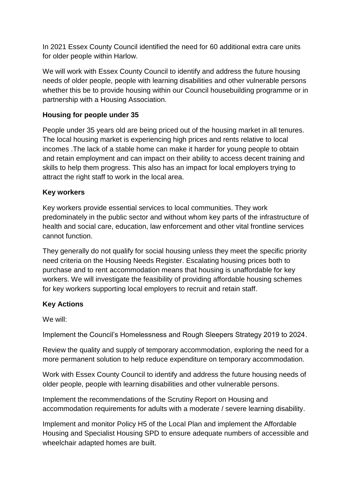In 2021 Essex County Council identified the need for 60 additional extra care units for older people within Harlow.

We will work with Essex County Council to identify and address the future housing needs of older people, people with learning disabilities and other vulnerable persons whether this be to provide housing within our Council housebuilding programme or in partnership with a Housing Association.

#### **Housing for people under 35**

People under 35 years old are being priced out of the housing market in all tenures. The local housing market is experiencing high prices and rents relative to local incomes .The lack of a stable home can make it harder for young people to obtain and retain employment and can impact on their ability to access decent training and skills to help them progress. This also has an impact for local employers trying to attract the right staff to work in the local area.

#### **Key workers**

Key workers provide essential services to local communities. They work predominately in the public sector and without whom key parts of the infrastructure of health and social care, education, law enforcement and other vital frontline services cannot function.

They generally do not qualify for social housing unless they meet the specific priority need criteria on the Housing Needs Register. Escalating housing prices both to purchase and to rent accommodation means that housing is unaffordable for key workers. We will investigate the feasibility of providing affordable housing schemes for key workers supporting local employers to recruit and retain staff.

#### **Key Actions**

We will:

Implement the Council's Homelessness and Rough Sleepers Strategy 2019 to 2024.

Review the quality and supply of temporary accommodation, exploring the need for a more permanent solution to help reduce expenditure on temporary accommodation.

Work with Essex County Council to identify and address the future housing needs of older people, people with learning disabilities and other vulnerable persons.

Implement the recommendations of the Scrutiny Report on Housing and accommodation requirements for adults with a moderate / severe learning disability.

Implement and monitor Policy H5 of the Local Plan and implement the Affordable Housing and Specialist Housing SPD to ensure adequate numbers of accessible and wheelchair adapted homes are built.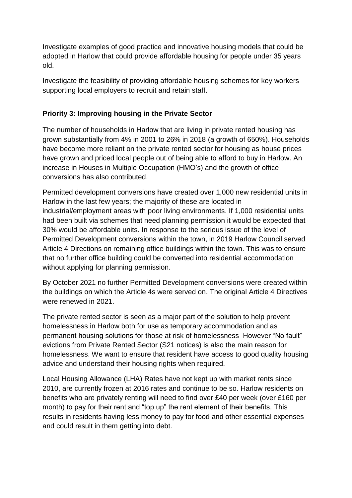Investigate examples of good practice and innovative housing models that could be adopted in Harlow that could provide affordable housing for people under 35 years old.

Investigate the feasibility of providing affordable housing schemes for key workers supporting local employers to recruit and retain staff.

#### **Priority 3: Improving housing in the Private Sector**

The number of households in Harlow that are living in private rented housing has grown substantially from 4% in 2001 to 26% in 2018 (a growth of 650%). Households have become more reliant on the private rented sector for housing as house prices have grown and priced local people out of being able to afford to buy in Harlow. An increase in Houses in Multiple Occupation (HMO's) and the growth of office conversions has also contributed.

Permitted development conversions have created over 1,000 new residential units in Harlow in the last few years; the majority of these are located in industrial/employment areas with poor living environments. If 1,000 residential units had been built via schemes that need planning permission it would be expected that 30% would be affordable units. In response to the serious issue of the level of Permitted Development conversions within the town, in 2019 Harlow Council served Article 4 Directions on remaining office buildings within the town. This was to ensure that no further office building could be converted into residential accommodation without applying for planning permission.

By October 2021 no further Permitted Development conversions were created within the buildings on which the Article 4s were served on. The original Article 4 Directives were renewed in 2021.

The private rented sector is seen as a major part of the solution to help prevent homelessness in Harlow both for use as temporary accommodation and as permanent housing solutions for those at risk of homelessness However "No fault" evictions from Private Rented Sector (S21 notices) is also the main reason for homelessness. We want to ensure that resident have access to good quality housing advice and understand their housing rights when required.

Local Housing Allowance (LHA) Rates have not kept up with market rents since 2010, are currently frozen at 2016 rates and continue to be so. Harlow residents on benefits who are privately renting will need to find over £40 per week (over £160 per month) to pay for their rent and "top up" the rent element of their benefits. This results in residents having less money to pay for food and other essential expenses and could result in them getting into debt.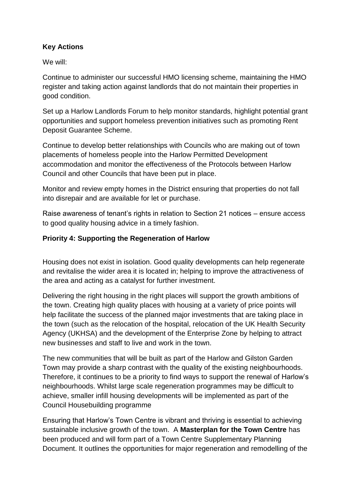## **Key Actions**

We will:

Continue to administer our successful HMO licensing scheme, maintaining the HMO register and taking action against landlords that do not maintain their properties in good condition.

Set up a Harlow Landlords Forum to help monitor standards, highlight potential grant opportunities and support homeless prevention initiatives such as promoting Rent Deposit Guarantee Scheme.

Continue to develop better relationships with Councils who are making out of town placements of homeless people into the Harlow Permitted Development accommodation and monitor the effectiveness of the Protocols between Harlow Council and other Councils that have been put in place.

Monitor and review empty homes in the District ensuring that properties do not fall into disrepair and are available for let or purchase.

Raise awareness of tenant's rights in relation to Section 21 notices – ensure access to good quality housing advice in a timely fashion.

## **Priority 4: Supporting the Regeneration of Harlow**

Housing does not exist in isolation. Good quality developments can help regenerate and revitalise the wider area it is located in; helping to improve the attractiveness of the area and acting as a catalyst for further investment.

Delivering the right housing in the right places will support the growth ambitions of the town. Creating high quality places with housing at a variety of price points will help facilitate the success of the planned major investments that are taking place in the town (such as the relocation of the hospital, relocation of the UK Health Security Agency (UKHSA) and the development of the Enterprise Zone by helping to attract new businesses and staff to live and work in the town.

The new communities that will be built as part of the Harlow and Gilston Garden Town may provide a sharp contrast with the quality of the existing neighbourhoods. Therefore, it continues to be a priority to find ways to support the renewal of Harlow's neighbourhoods. Whilst large scale regeneration programmes may be difficult to achieve, smaller infill housing developments will be implemented as part of the Council Housebuilding programme

Ensuring that Harlow's Town Centre is vibrant and thriving is essential to achieving sustainable inclusive growth of the town. A **Masterplan for the Town Centre** has been produced and will form part of a Town Centre Supplementary Planning Document. It outlines the opportunities for major regeneration and remodelling of the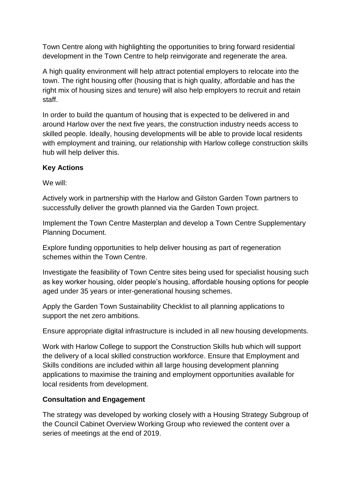Town Centre along with highlighting the opportunities to bring forward residential development in the Town Centre to help reinvigorate and regenerate the area.

A high quality environment will help attract potential employers to relocate into the town. The right housing offer (housing that is high quality, affordable and has the right mix of housing sizes and tenure) will also help employers to recruit and retain staff.

In order to build the quantum of housing that is expected to be delivered in and around Harlow over the next five years, the construction industry needs access to skilled people. Ideally, housing developments will be able to provide local residents with employment and training, our relationship with Harlow college construction skills hub will help deliver this.

## **Key Actions**

We will:

Actively work in partnership with the Harlow and Gilston Garden Town partners to successfully deliver the growth planned via the Garden Town project.

Implement the Town Centre Masterplan and develop a Town Centre Supplementary Planning Document.

Explore funding opportunities to help deliver housing as part of regeneration schemes within the Town Centre.

Investigate the feasibility of Town Centre sites being used for specialist housing such as key worker housing, older people's housing, affordable housing options for people aged under 35 years or inter-generational housing schemes.

Apply the Garden Town Sustainability Checklist to all planning applications to support the net zero ambitions.

Ensure appropriate digital infrastructure is included in all new housing developments.

Work with Harlow College to support the Construction Skills hub which will support the delivery of a local skilled construction workforce. Ensure that Employment and Skills conditions are included within all large housing development planning applications to maximise the training and employment opportunities available for local residents from development.

## **Consultation and Engagement**

The strategy was developed by working closely with a Housing Strategy Subgroup of the Council Cabinet Overview Working Group who reviewed the content over a series of meetings at the end of 2019.